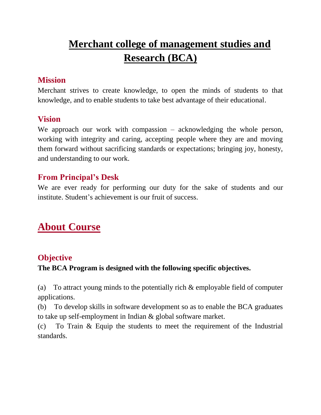# **Merchant college of management studies and Research (BCA)**

#### **Mission**

Merchant strives to create knowledge, to open the minds of students to that knowledge, and to enable students to take best advantage of their educational.

#### **Vision**

We approach our work with compassion – acknowledging the whole person, working with integrity and caring, accepting people where they are and moving them forward without sacrificing standards or expectations; bringing joy, honesty, and understanding to our work.

#### **From Principal's Desk**

We are ever ready for performing our duty for the sake of students and our institute. Student's achievement is our fruit of success.

## **About Course**

#### **Objective**

**The BCA Program is designed with the following specific objectives.**

(a) To attract young minds to the potentially rich  $&$  employable field of computer applications.

(b) To develop skills in software development so as to enable the BCA graduates to take up self-employment in Indian & global software market.

(c) To Train & Equip the students to meet the requirement of the Industrial standards.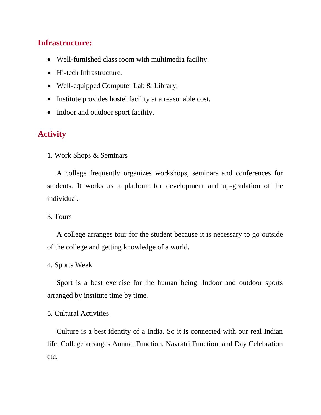#### **Infrastructure:**

- Well-furnished class room with multimedia facility.
- Hi-tech Infrastructure.
- Well-equipped Computer Lab & Library.
- Institute provides hostel facility at a reasonable cost.
- Indoor and outdoor sport facility.

### **Activity**

1. Work Shops & Seminars

A college frequently organizes workshops, seminars and conferences for students. It works as a platform for development and up-gradation of the individual.

3. Tours

A college arranges tour for the student because it is necessary to go outside of the college and getting knowledge of a world.

4. Sports Week

Sport is a best exercise for the human being. Indoor and outdoor sports arranged by institute time by time.

#### 5. Cultural Activities

Culture is a best identity of a India. So it is connected with our real Indian life. College arranges Annual Function, Navratri Function, and Day Celebration etc.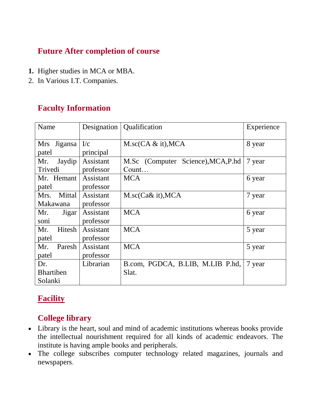## **Future After completion of course**

- **1.** Higher studies in MCA or MBA.
- 2. In Various I.T. Companies.

### **Faculty Information**

| Name             | Designation | Qualification                      | Experience |
|------------------|-------------|------------------------------------|------------|
| Mrs Jigansa      | I/c         | $M.\text{sc}(CA \& it)$ , MCA      | 8 year     |
| patel            | principal   |                                    |            |
| Jaydip<br>Mr.    | Assistant   | M.Sc (Computer Science), MCA, P.hd | 7 year     |
| Trivedi          | professor   | Count                              |            |
| Mr. Hemant       | Assistant   | <b>MCA</b>                         | 6 year     |
| patel            | professor   |                                    |            |
| Mittal<br>Mrs.   | Assistant   | M.sc(Ca& it), MCA                  | 7 year     |
| Makawana         | professor   |                                    |            |
| Mr.<br>Jigar     | Assistant   | <b>MCA</b>                         | 6 year     |
| soni             | professor   |                                    |            |
| Hitesh<br>Mr.    | Assistant   | <b>MCA</b>                         | 5 year     |
| patel            | professor   |                                    |            |
| Mr.<br>Paresh    | Assistant   | <b>MCA</b>                         | 5 year     |
| patel            | professor   |                                    |            |
| Dr.              | Librarian   | B.com, PGDCA, B.LIB, M.LIB P.hd,   | 7 year     |
| <b>Bhartiben</b> |             | Slat.                              |            |
| Solanki          |             |                                    |            |

## **Facility**

## **College library**

- Library is the heart, soul and mind of academic institutions whereas books provide the intellectual nourishment required for all kinds of academic endeavors. The institute is having ample books and peripherals.
- The college subscribes computer technology related magazines, journals and newspapers.